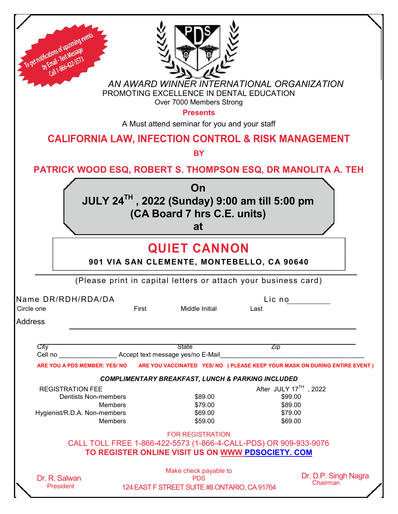| To get notifications of upcoming                             |                                                                                                                       |                                              |                       |                                                                             |
|--------------------------------------------------------------|-----------------------------------------------------------------------------------------------------------------------|----------------------------------------------|-----------------------|-----------------------------------------------------------------------------|
| by Email - Text Messac<br>Call 1-866-422-551                 |                                                                                                                       |                                              |                       |                                                                             |
|                                                              | AN AWARD WINNER INTERNATIONAL ORGANIZATION                                                                            |                                              |                       |                                                                             |
|                                                              | PROMOTING EXCELLENCE IN DENTAL EDUCATION                                                                              | Over 7000 Members Strong                     |                       |                                                                             |
|                                                              |                                                                                                                       | <b>Presents</b>                              |                       |                                                                             |
|                                                              | <b>CALIFORNIA LAW, INFECTION CONTROL &amp; RISK MANAGEMENT</b>                                                        | A Must attend seminar for you and your staff |                       |                                                                             |
|                                                              |                                                                                                                       | <b>BY</b>                                    |                       |                                                                             |
| PATRICK WOOD ESQ, ROBERT S. THOMPSON ESQ, DR MANOLITA A. TEH |                                                                                                                       |                                              |                       |                                                                             |
|                                                              | JULY 24TH, 2022 (Sunday) 9:00 am till 5:00 pm                                                                         | On                                           |                       |                                                                             |
|                                                              |                                                                                                                       | (CA Board 7 hrs C.E. units)                  |                       |                                                                             |
|                                                              |                                                                                                                       | at                                           |                       |                                                                             |
|                                                              |                                                                                                                       |                                              |                       |                                                                             |
|                                                              |                                                                                                                       | <b>QUIET CANNON</b>                          |                       |                                                                             |
|                                                              | 901 VIA SAN CLEMENTE, MONTEBELLO, CA 90640                                                                            |                                              |                       |                                                                             |
|                                                              | (Please print in capital letters or attach your business card)                                                        |                                              |                       |                                                                             |
| Name DR/RDH/RDA/DA                                           |                                                                                                                       |                                              | Lic no                |                                                                             |
| Circle one<br><b>Address</b>                                 | First                                                                                                                 | Middle Initial                               | Last                  |                                                                             |
|                                                              |                                                                                                                       |                                              |                       |                                                                             |
| City<br>Cell no                                              | Accept text message yes/no E-Mail                                                                                     | <b>State</b>                                 | <b>Zip</b>            |                                                                             |
| ARE YOU A PDS MEMBER: YES/ NO                                |                                                                                                                       |                                              |                       | ARE YOU VACCINATED YES/ NO ( PLEASE KEEP YOUR MASK ON DURING ENTIRE EVENT ) |
|                                                              | COMPLIMENTARY BREAKFAST, LUNCH & PARKING INCLUDED                                                                     |                                              |                       |                                                                             |
| <b>REGISTRATION FEE</b>                                      |                                                                                                                       |                                              | After JULY 17TH, 2022 |                                                                             |
| <b>Dentists Non-members</b>                                  |                                                                                                                       | \$89.00                                      | \$99.00               |                                                                             |
|                                                              | <b>Members</b>                                                                                                        | \$79.00<br>\$69.00                           | \$89.00<br>\$79.00    |                                                                             |
| Hygienist/R.D.A. Non-members                                 | <b>Members</b>                                                                                                        | \$59.00                                      | \$69.00               |                                                                             |
|                                                              |                                                                                                                       | <b>FOR REGISTRATION</b>                      |                       |                                                                             |
|                                                              | CALL TOLL FREE 1-866-422-5573 (1-866-4-CALL-PDS) OR 909-933-9076<br>TO REGISTER ONLINE VISIT US ON WWW PDSOCIETY. COM |                                              |                       |                                                                             |
| Dr. R. Salwan                                                |                                                                                                                       | Make check payable to<br><b>PDS</b>          |                       | Dr. D.P. Singh Nagra                                                        |